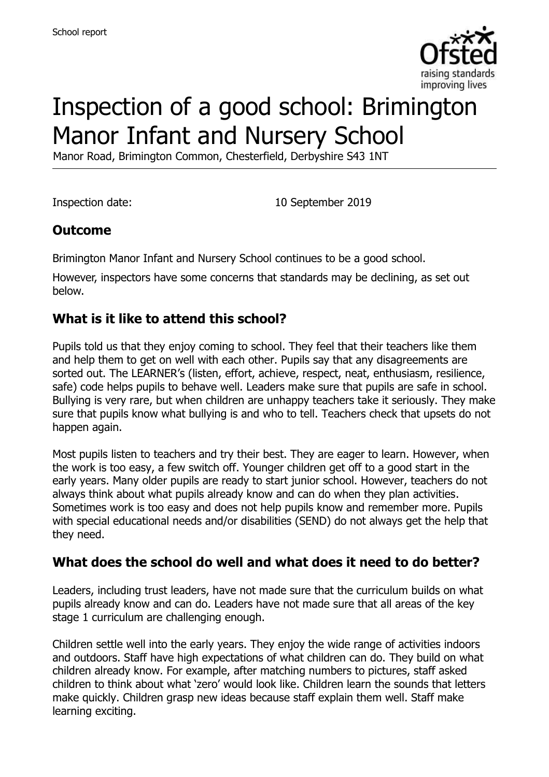

# Inspection of a good school: Brimington Manor Infant and Nursery School

Manor Road, Brimington Common, Chesterfield, Derbyshire S43 1NT

Inspection date: 10 September 2019

#### **Outcome**

Brimington Manor Infant and Nursery School continues to be a good school.

However, inspectors have some concerns that standards may be declining, as set out below.

#### **What is it like to attend this school?**

Pupils told us that they enjoy coming to school. They feel that their teachers like them and help them to get on well with each other. Pupils say that any disagreements are sorted out. The LEARNER's (listen, effort, achieve, respect, neat, enthusiasm, resilience, safe) code helps pupils to behave well. Leaders make sure that pupils are safe in school. Bullying is very rare, but when children are unhappy teachers take it seriously. They make sure that pupils know what bullying is and who to tell. Teachers check that upsets do not happen again.

Most pupils listen to teachers and try their best. They are eager to learn. However, when the work is too easy, a few switch off. Younger children get off to a good start in the early years. Many older pupils are ready to start junior school. However, teachers do not always think about what pupils already know and can do when they plan activities. Sometimes work is too easy and does not help pupils know and remember more. Pupils with special educational needs and/or disabilities (SEND) do not always get the help that they need.

#### **What does the school do well and what does it need to do better?**

Leaders, including trust leaders, have not made sure that the curriculum builds on what pupils already know and can do. Leaders have not made sure that all areas of the key stage 1 curriculum are challenging enough.

Children settle well into the early years. They enjoy the wide range of activities indoors and outdoors. Staff have high expectations of what children can do. They build on what children already know. For example, after matching numbers to pictures, staff asked children to think about what 'zero' would look like. Children learn the sounds that letters make quickly. Children grasp new ideas because staff explain them well. Staff make learning exciting.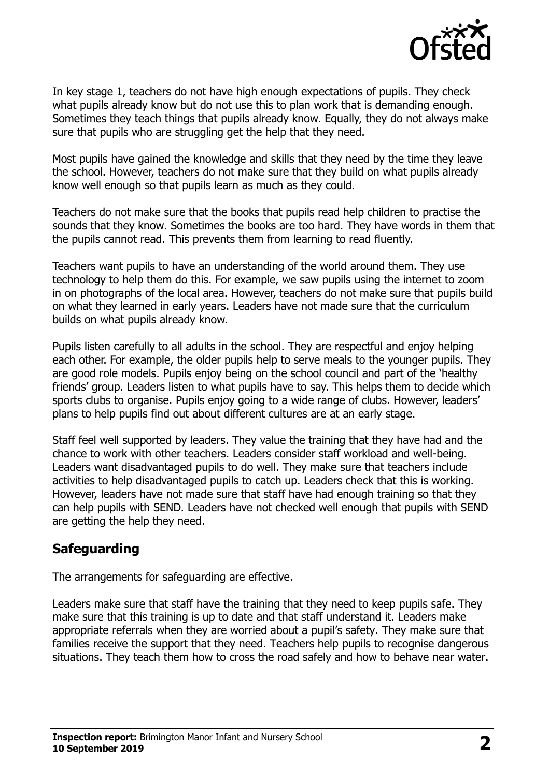

In key stage 1, teachers do not have high enough expectations of pupils. They check what pupils already know but do not use this to plan work that is demanding enough. Sometimes they teach things that pupils already know. Equally, they do not always make sure that pupils who are struggling get the help that they need.

Most pupils have gained the knowledge and skills that they need by the time they leave the school. However, teachers do not make sure that they build on what pupils already know well enough so that pupils learn as much as they could.

Teachers do not make sure that the books that pupils read help children to practise the sounds that they know. Sometimes the books are too hard. They have words in them that the pupils cannot read. This prevents them from learning to read fluently.

Teachers want pupils to have an understanding of the world around them. They use technology to help them do this. For example, we saw pupils using the internet to zoom in on photographs of the local area. However, teachers do not make sure that pupils build on what they learned in early years. Leaders have not made sure that the curriculum builds on what pupils already know.

Pupils listen carefully to all adults in the school. They are respectful and enjoy helping each other. For example, the older pupils help to serve meals to the younger pupils. They are good role models. Pupils enjoy being on the school council and part of the 'healthy friends' group. Leaders listen to what pupils have to say. This helps them to decide which sports clubs to organise. Pupils enjoy going to a wide range of clubs. However, leaders' plans to help pupils find out about different cultures are at an early stage.

Staff feel well supported by leaders. They value the training that they have had and the chance to work with other teachers. Leaders consider staff workload and well-being. Leaders want disadvantaged pupils to do well. They make sure that teachers include activities to help disadvantaged pupils to catch up. Leaders check that this is working. However, leaders have not made sure that staff have had enough training so that they can help pupils with SEND. Leaders have not checked well enough that pupils with SEND are getting the help they need.

#### **Safeguarding**

The arrangements for safeguarding are effective.

Leaders make sure that staff have the training that they need to keep pupils safe. They make sure that this training is up to date and that staff understand it. Leaders make appropriate referrals when they are worried about a pupil's safety. They make sure that families receive the support that they need. Teachers help pupils to recognise dangerous situations. They teach them how to cross the road safely and how to behave near water.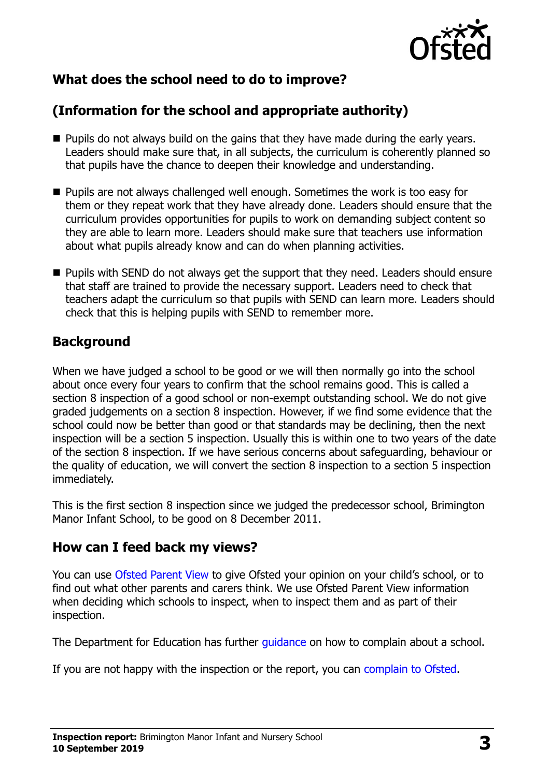

## **What does the school need to do to improve?**

# **(Information for the school and appropriate authority)**

- **Pupils do not always build on the gains that they have made during the early years.** Leaders should make sure that, in all subjects, the curriculum is coherently planned so that pupils have the chance to deepen their knowledge and understanding.
- **Pupils are not always challenged well enough. Sometimes the work is too easy for** them or they repeat work that they have already done. Leaders should ensure that the curriculum provides opportunities for pupils to work on demanding subject content so they are able to learn more. Leaders should make sure that teachers use information about what pupils already know and can do when planning activities.
- **Pupils with SEND do not always get the support that they need. Leaders should ensure** that staff are trained to provide the necessary support. Leaders need to check that teachers adapt the curriculum so that pupils with SEND can learn more. Leaders should check that this is helping pupils with SEND to remember more.

#### **Background**

When we have judged a school to be good or we will then normally go into the school about once every four years to confirm that the school remains good. This is called a section 8 inspection of a good school or non-exempt outstanding school. We do not give graded judgements on a section 8 inspection. However, if we find some evidence that the school could now be better than good or that standards may be declining, then the next inspection will be a section 5 inspection. Usually this is within one to two years of the date of the section 8 inspection. If we have serious concerns about safeguarding, behaviour or the quality of education, we will convert the section 8 inspection to a section 5 inspection immediately.

This is the first section 8 inspection since we judged the predecessor school, Brimington Manor Infant School, to be good on 8 December 2011.

#### **How can I feed back my views?**

You can use [Ofsted Parent View](https://parentview.ofsted.gov.uk/) to give Ofsted your opinion on your child's school, or to find out what other parents and carers think. We use Ofsted Parent View information when deciding which schools to inspect, when to inspect them and as part of their inspection.

The Department for Education has further quidance on how to complain about a school.

If you are not happy with the inspection or the report, you can [complain to Ofsted.](https://www.gov.uk/complain-ofsted-report)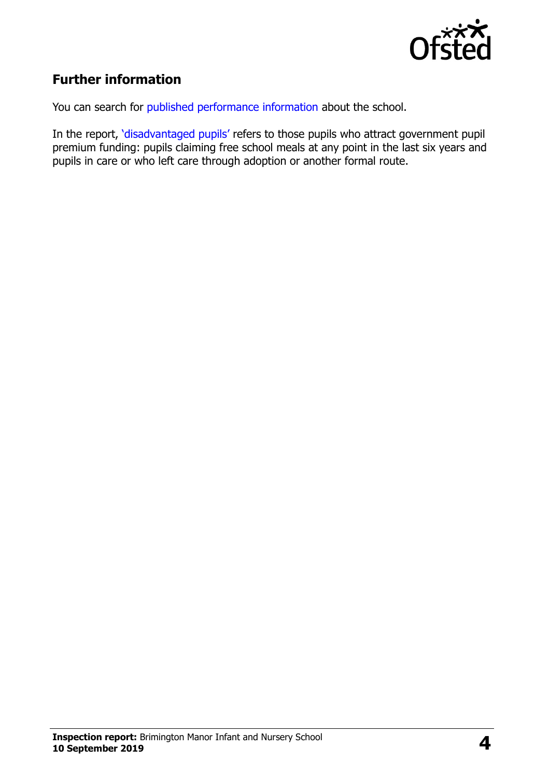

## **Further information**

You can search for [published performance information](http://www.compare-school-performance.service.gov.uk/) about the school.

In the report, '[disadvantaged pupils](http://www.gov.uk/guidance/pupil-premium-information-for-schools-and-alternative-provision-settings)' refers to those pupils who attract government pupil premium funding: pupils claiming free school meals at any point in the last six years and pupils in care or who left care through adoption or another formal route.

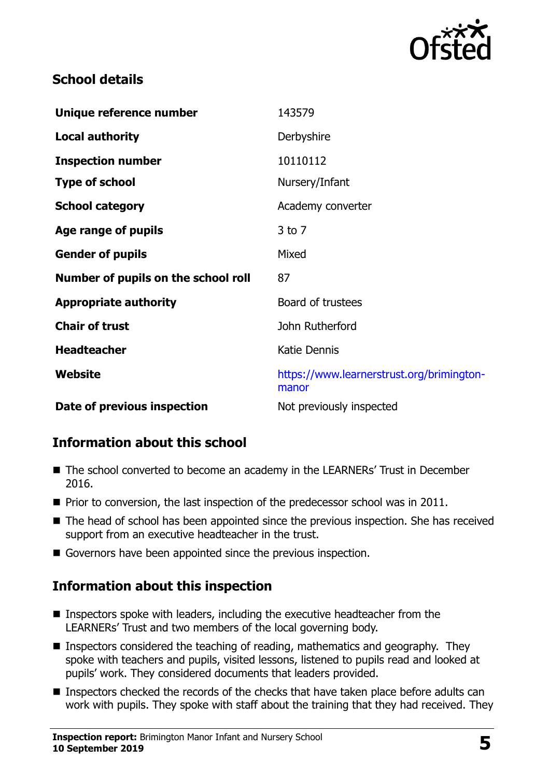

#### **School details**

| Unique reference number             | 143579                                             |
|-------------------------------------|----------------------------------------------------|
| <b>Local authority</b>              | Derbyshire                                         |
| <b>Inspection number</b>            | 10110112                                           |
| <b>Type of school</b>               | Nursery/Infant                                     |
| <b>School category</b>              | Academy converter                                  |
| Age range of pupils                 | $3$ to $7$                                         |
| <b>Gender of pupils</b>             | Mixed                                              |
| Number of pupils on the school roll | 87                                                 |
| <b>Appropriate authority</b>        | Board of trustees                                  |
| <b>Chair of trust</b>               | John Rutherford                                    |
| <b>Headteacher</b>                  | Katie Dennis                                       |
| <b>Website</b>                      | https://www.learnerstrust.org/brimington-<br>manor |
| Date of previous inspection         | Not previously inspected                           |

#### **Information about this school**

- The school converted to become an academy in the LEARNERs' Trust in December 2016.
- $\blacksquare$  Prior to conversion, the last inspection of the predecessor school was in 2011.
- The head of school has been appointed since the previous inspection. She has received support from an executive headteacher in the trust.
- Governors have been appointed since the previous inspection.

#### **Information about this inspection**

- Inspectors spoke with leaders, including the executive headteacher from the LEARNERs' Trust and two members of the local governing body.
- Inspectors considered the teaching of reading, mathematics and geography. They spoke with teachers and pupils, visited lessons, listened to pupils read and looked at pupils' work. They considered documents that leaders provided.
- **Inspectors checked the records of the checks that have taken place before adults can** work with pupils. They spoke with staff about the training that they had received. They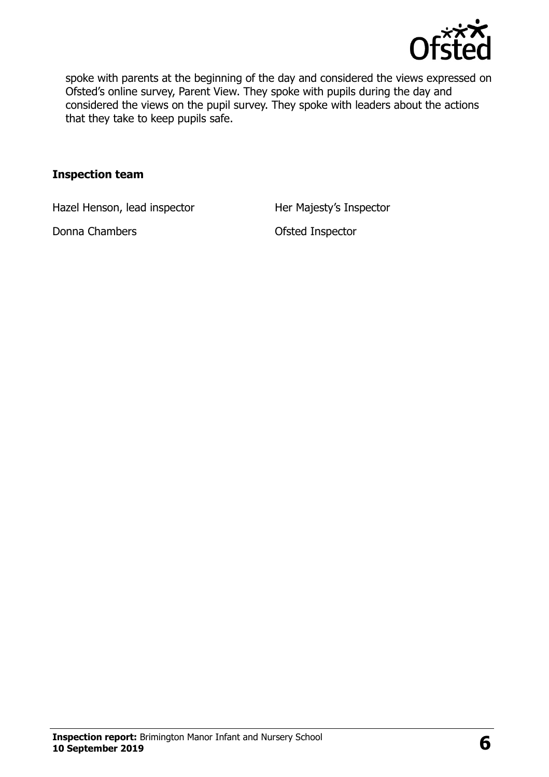

spoke with parents at the beginning of the day and considered the views expressed on Ofsted's online survey, Parent View. They spoke with pupils during the day and considered the views on the pupil survey. They spoke with leaders about the actions that they take to keep pupils safe.

#### **Inspection team**

Hazel Henson, lead inspector Her Majesty's Inspector

Donna Chambers **Ofsted Inspector**